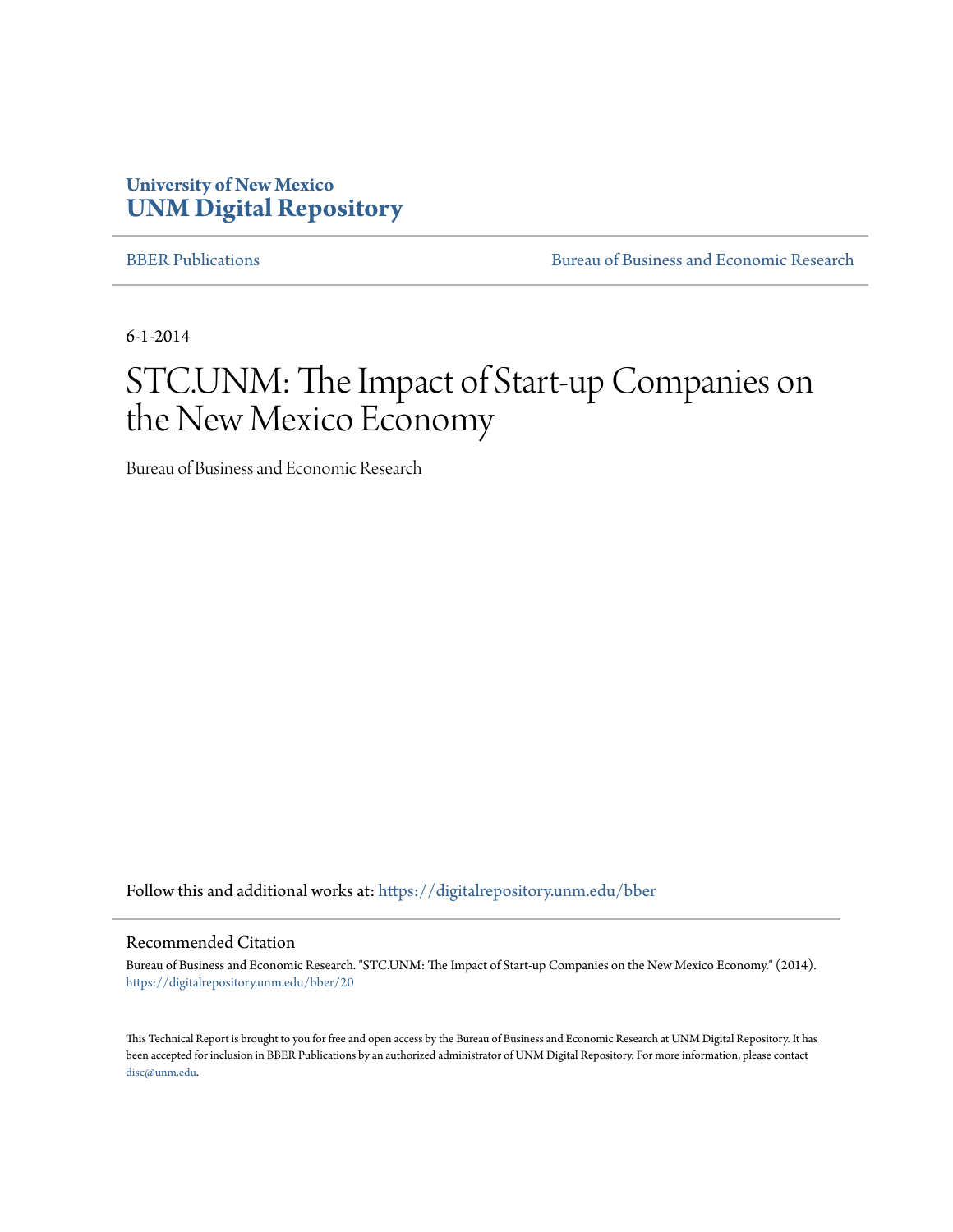### **University of New Mexico [UNM Digital Repository](https://digitalrepository.unm.edu?utm_source=digitalrepository.unm.edu%2Fbber%2F20&utm_medium=PDF&utm_campaign=PDFCoverPages)**

[BBER Publications](https://digitalrepository.unm.edu/bber?utm_source=digitalrepository.unm.edu%2Fbber%2F20&utm_medium=PDF&utm_campaign=PDFCoverPages) [Bureau of Business and Economic Research](https://digitalrepository.unm.edu/business_economic_research?utm_source=digitalrepository.unm.edu%2Fbber%2F20&utm_medium=PDF&utm_campaign=PDFCoverPages)

6-1-2014

# STC.UNM: The Impact of Start-up Companies on the New Mexico Economy

Bureau of Business and Economic Research

Follow this and additional works at: [https://digitalrepository.unm.edu/bber](https://digitalrepository.unm.edu/bber?utm_source=digitalrepository.unm.edu%2Fbber%2F20&utm_medium=PDF&utm_campaign=PDFCoverPages)

#### Recommended Citation

Bureau of Business and Economic Research. "STC.UNM: The Impact of Start-up Companies on the New Mexico Economy." (2014). [https://digitalrepository.unm.edu/bber/20](https://digitalrepository.unm.edu/bber/20?utm_source=digitalrepository.unm.edu%2Fbber%2F20&utm_medium=PDF&utm_campaign=PDFCoverPages)

This Technical Report is brought to you for free and open access by the Bureau of Business and Economic Research at UNM Digital Repository. It has been accepted for inclusion in BBER Publications by an authorized administrator of UNM Digital Repository. For more information, please contact [disc@unm.edu](mailto:disc@unm.edu).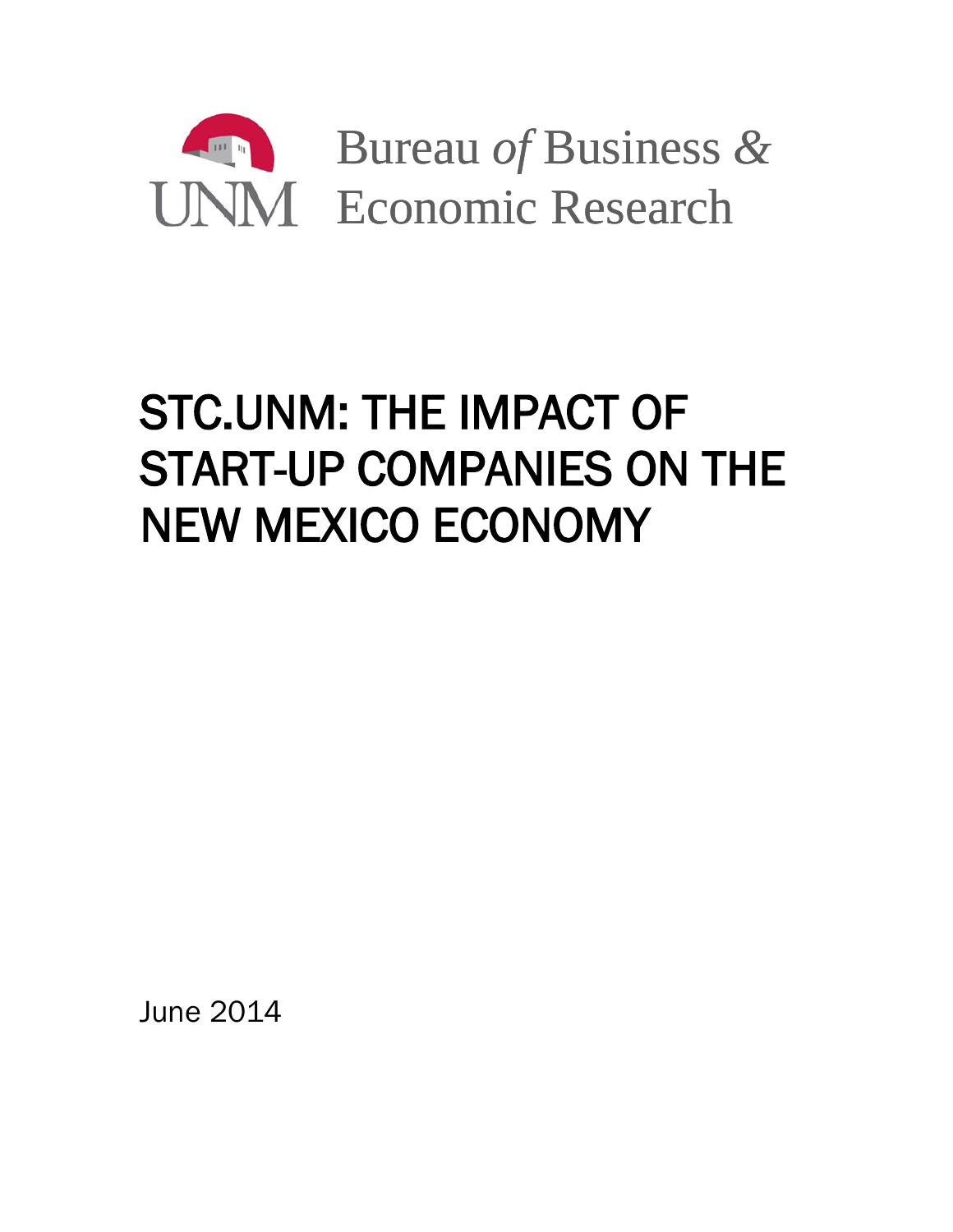

# STC.UNM: THE IMPACT OF START-UP COMPANIES ON THE NEW MEXICO ECONOMY

June 2014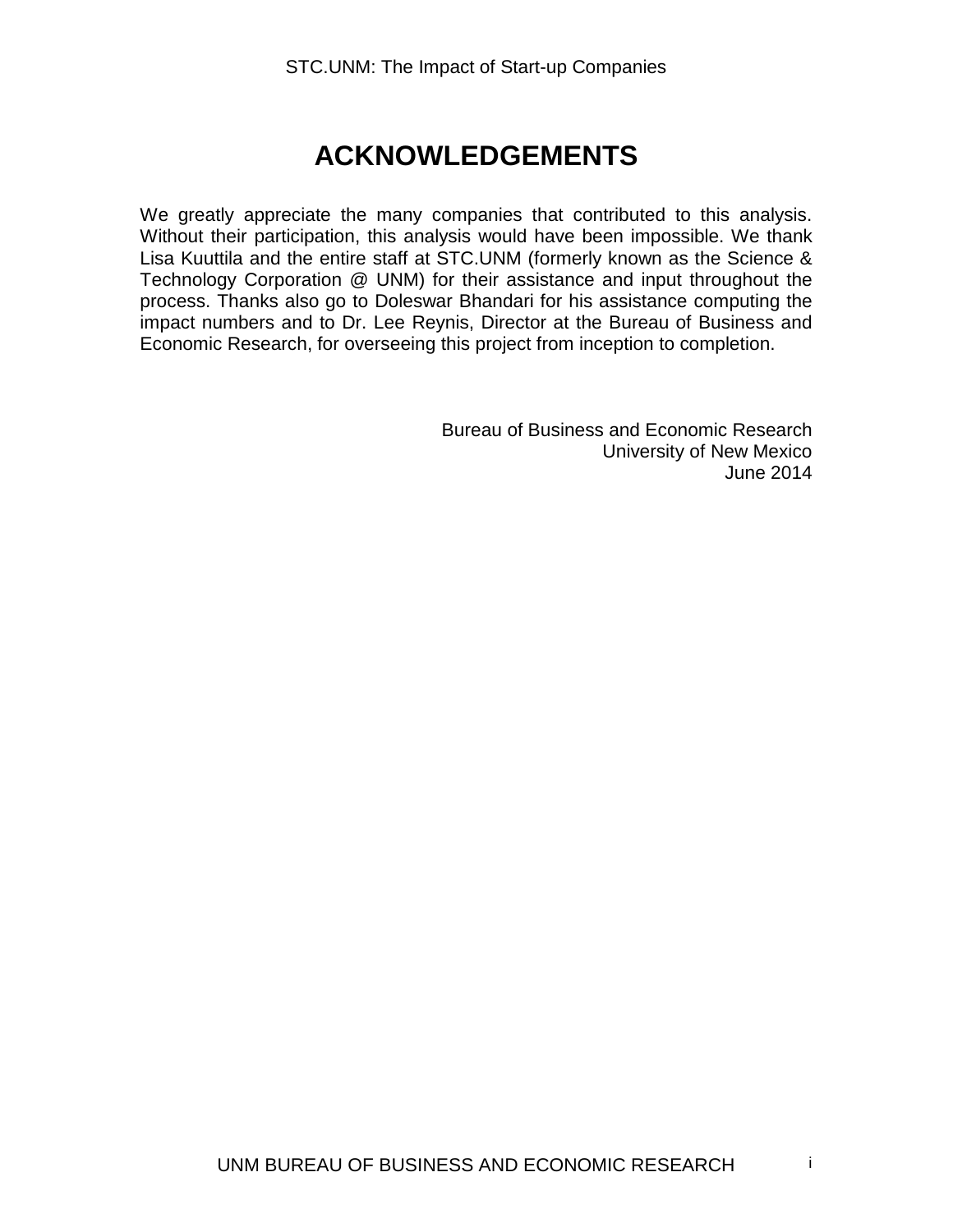## **ACKNOWLEDGEMENTS**

We greatly appreciate the many companies that contributed to this analysis. Without their participation, this analysis would have been impossible. We thank Lisa Kuuttila and the entire staff at STC.UNM (formerly known as the Science & Technology Corporation @ UNM) for their assistance and input throughout the process. Thanks also go to Doleswar Bhandari for his assistance computing the impact numbers and to Dr. Lee Reynis, Director at the Bureau of Business and Economic Research, for overseeing this project from inception to completion.

> Bureau of Business and Economic Research University of New Mexico June 2014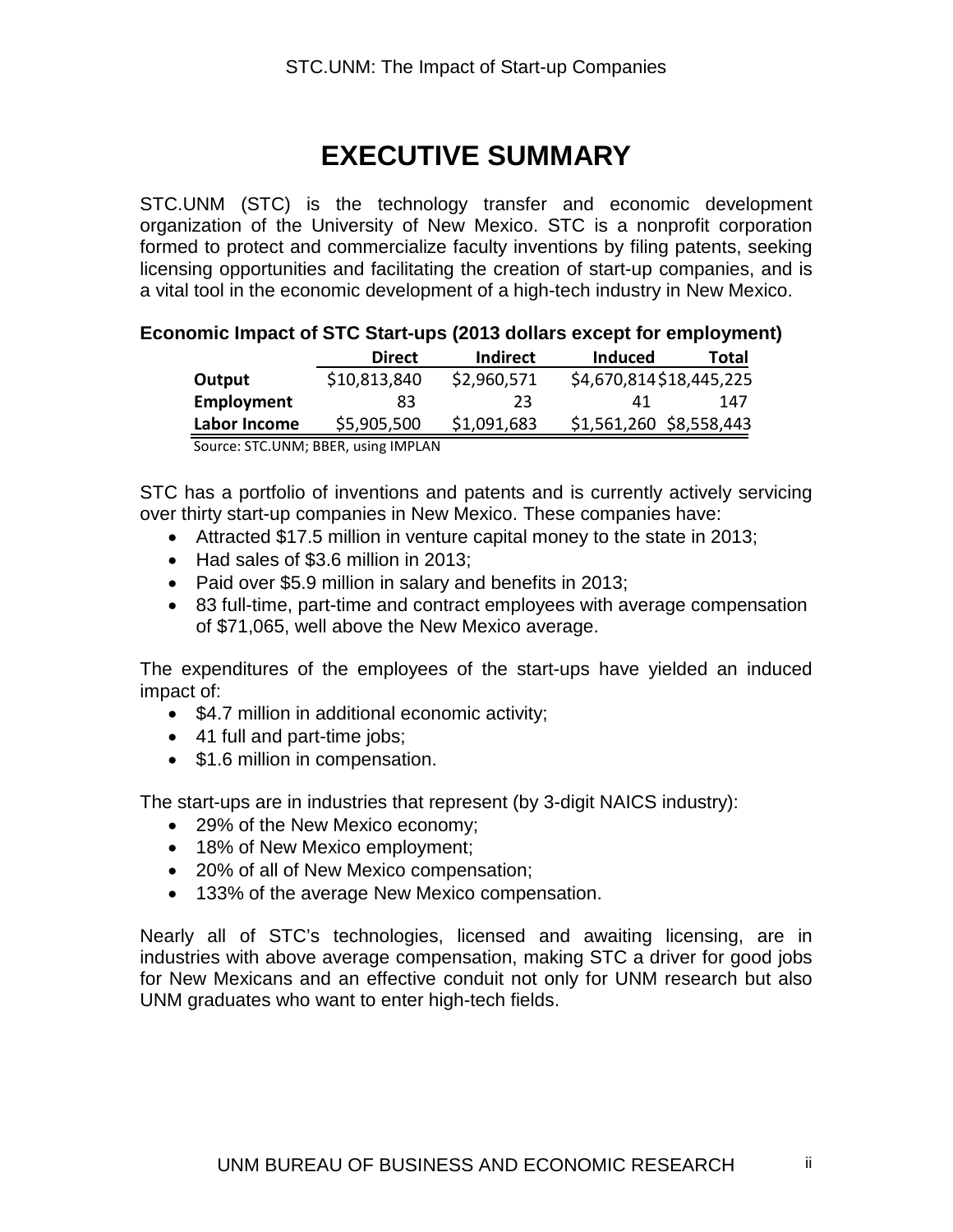# **EXECUTIVE SUMMARY**

STC.UNM (STC) is the technology transfer and economic development organization of the University of New Mexico. STC is a nonprofit corporation formed to protect and commercialize faculty inventions by filing patents, seeking licensing opportunities and facilitating the creation of start-up companies, and is a vital tool in the economic development of a high-tech industry in New Mexico.

#### **Economic Impact of STC Start-ups (2013 dollars except for employment)**

|              | <b>Direct</b> | Indirect    | Induced                 | Total |
|--------------|---------------|-------------|-------------------------|-------|
| Output       | \$10,813,840  | \$2,960,571 | \$4,670,814\$18,445,225 |       |
| Employment   | 83            | 23          | 41                      | 147   |
| Labor Income | \$5,905,500   | \$1,091,683 | \$1,561,260 \$8,558,443 |       |

Source: STC.UNM; BBER, using IMPLAN

STC has a portfolio of inventions and patents and is currently actively servicing over thirty start-up companies in New Mexico. These companies have:

- Attracted \$17.5 million in venture capital money to the state in 2013;
- Had sales of \$3.6 million in 2013;
- Paid over \$5.9 million in salary and benefits in 2013;
- 83 full-time, part-time and contract employees with average compensation of \$71,065, well above the New Mexico average.

The expenditures of the employees of the start-ups have yielded an induced impact of:

- \$4.7 million in additional economic activity;
- 41 full and part-time jobs;
- \$1.6 million in compensation.

The start-ups are in industries that represent (by 3-digit NAICS industry):

- 29% of the New Mexico economy:
- 18% of New Mexico employment;
- 20% of all of New Mexico compensation;
- 133% of the average New Mexico compensation.

Nearly all of STC's technologies, licensed and awaiting licensing, are in industries with above average compensation, making STC a driver for good jobs for New Mexicans and an effective conduit not only for UNM research but also UNM graduates who want to enter high-tech fields.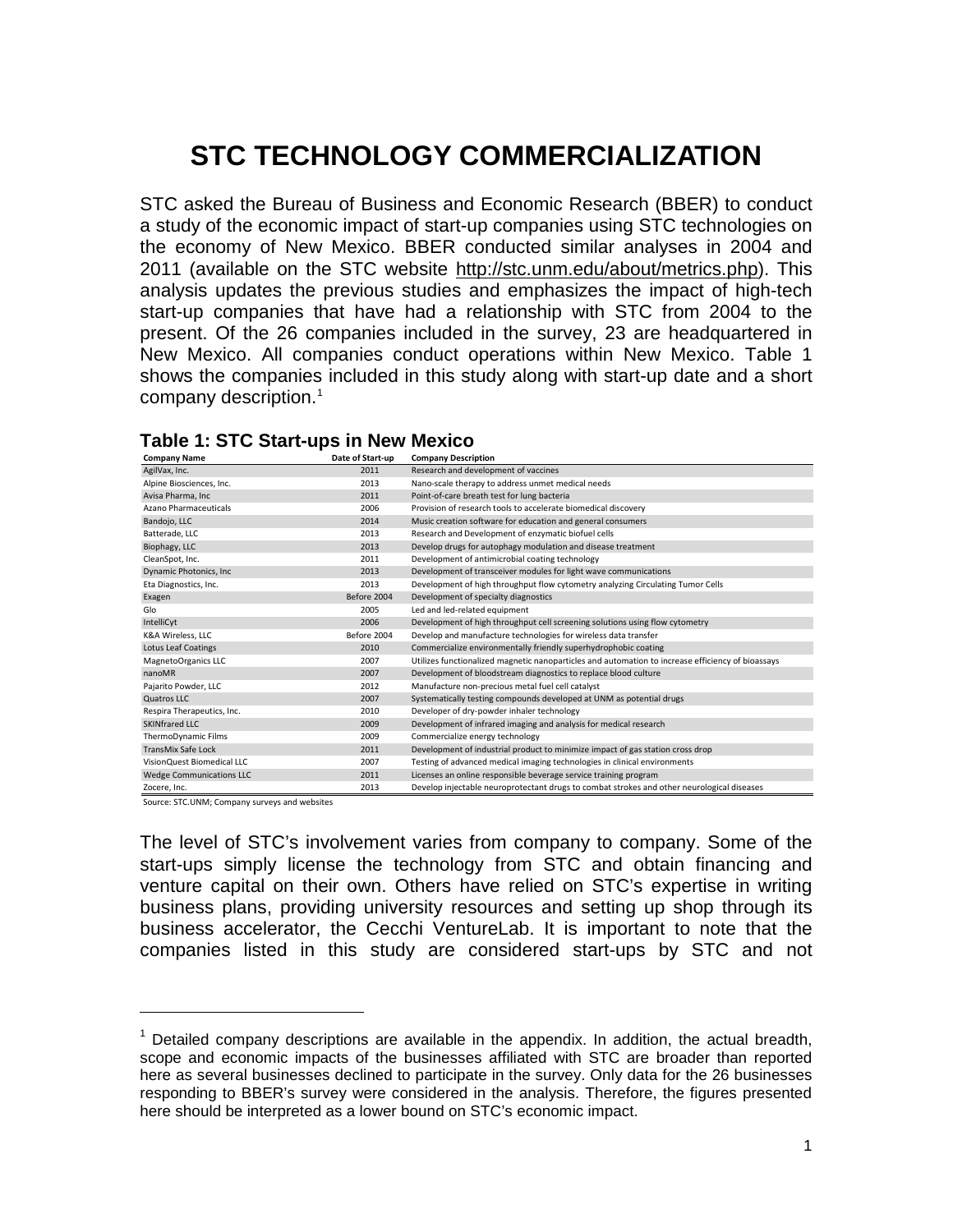# **STC TECHNOLOGY COMMERCIALIZATION**

STC asked the Bureau of Business and Economic Research (BBER) to conduct a study of the economic impact of start-up companies using STC technologies on the economy of New Mexico. BBER conducted similar analyses in 2004 and 2011 (available on the STC website [http://stc.unm.edu/about/metrics.php\)](http://stc.unm.edu/about/metrics.php). This analysis updates the previous studies and emphasizes the impact of high-tech start-up companies that have had a relationship with STC from 2004 to the present. Of the 26 companies included in the survey, 23 are headquartered in New Mexico. All companies conduct operations within New Mexico. Table 1 shows the companies included in this study along with start-up date and a short company description.<sup>[1](#page-4-0)</sup>

| company name                    | Date of Start-up | Company Description                                                                               |
|---------------------------------|------------------|---------------------------------------------------------------------------------------------------|
| AgilVax, Inc.                   | 2011             | Research and development of vaccines                                                              |
| Alpine Biosciences, Inc.        | 2013             | Nano-scale therapy to address unmet medical needs                                                 |
| Avisa Pharma, Inc               | 2011             | Point-of-care breath test for lung bacteria                                                       |
| Azano Pharmaceuticals           | 2006             | Provision of research tools to accelerate biomedical discovery                                    |
| Bandojo, LLC                    | 2014             | Music creation software for education and general consumers                                       |
| Batterade, LLC                  | 2013             | Research and Development of enzymatic biofuel cells                                               |
| Biophagy, LLC                   | 2013             | Develop drugs for autophagy modulation and disease treatment                                      |
| CleanSpot, Inc.                 | 2011             | Development of antimicrobial coating technology                                                   |
| Dynamic Photonics, Inc          | 2013             | Development of transceiver modules for light wave communications                                  |
| Eta Diagnostics, Inc.           | 2013             | Development of high throughput flow cytometry analyzing Circulating Tumor Cells                   |
| Exagen                          | Before 2004      | Development of specialty diagnostics                                                              |
| Glo                             | 2005             | Led and led-related equipment                                                                     |
| IntelliCyt                      | 2006             | Development of high throughput cell screening solutions using flow cytometry                      |
| K&A Wireless, LLC               | Before 2004      | Develop and manufacture technologies for wireless data transfer                                   |
| <b>Lotus Leaf Coatings</b>      | 2010             | Commercialize environmentally friendly superhydrophobic coating                                   |
| MagnetoOrganics LLC             | 2007             | Utilizes functionalized magnetic nanoparticles and automation to increase efficiency of bioassays |
| nanoMR                          | 2007             | Development of bloodstream diagnostics to replace blood culture                                   |
| Pajarito Powder, LLC            | 2012             | Manufacture non-precious metal fuel cell catalyst                                                 |
| Quatros LLC                     | 2007             | Systematically testing compounds developed at UNM as potential drugs                              |
| Respira Therapeutics, Inc.      | 2010             | Developer of dry-powder inhaler technology                                                        |
| <b>SKINfrared LLC</b>           | 2009             | Development of infrared imaging and analysis for medical research                                 |
| ThermoDynamic Films             | 2009             | Commercialize energy technology                                                                   |
| <b>TransMix Safe Lock</b>       | 2011             | Development of industrial product to minimize impact of gas station cross drop                    |
| VisionQuest Biomedical LLC      | 2007             | Testing of advanced medical imaging technologies in clinical environments                         |
| <b>Wedge Communications LLC</b> | 2011             | Licenses an online responsible beverage service training program                                  |
| Zocere, Inc.                    | 2013             | Develop injectable neuroprotectant drugs to combat strokes and other neurological diseases        |

|              | <b>Table 1: STC Start-ups in New Mexico</b> |                    |
|--------------|---------------------------------------------|--------------------|
| Company Namo | $Data$ of $Start$ $$                        | Company Doccriptic |

Source: STC.UNM; Company surveys and websites

 $\overline{a}$ 

The level of STC's involvement varies from company to company. Some of the start-ups simply license the technology from STC and obtain financing and venture capital on their own. Others have relied on STC's expertise in writing business plans, providing university resources and setting up shop through its business accelerator, the Cecchi VentureLab. It is important to note that the companies listed in this study are considered start-ups by STC and not

<span id="page-4-0"></span> $<sup>1</sup>$  Detailed company descriptions are available in the appendix. In addition, the actual breadth,</sup> scope and economic impacts of the businesses affiliated with STC are broader than reported here as several businesses declined to participate in the survey. Only data for the 26 businesses responding to BBER's survey were considered in the analysis. Therefore, the figures presented here should be interpreted as a lower bound on STC's economic impact.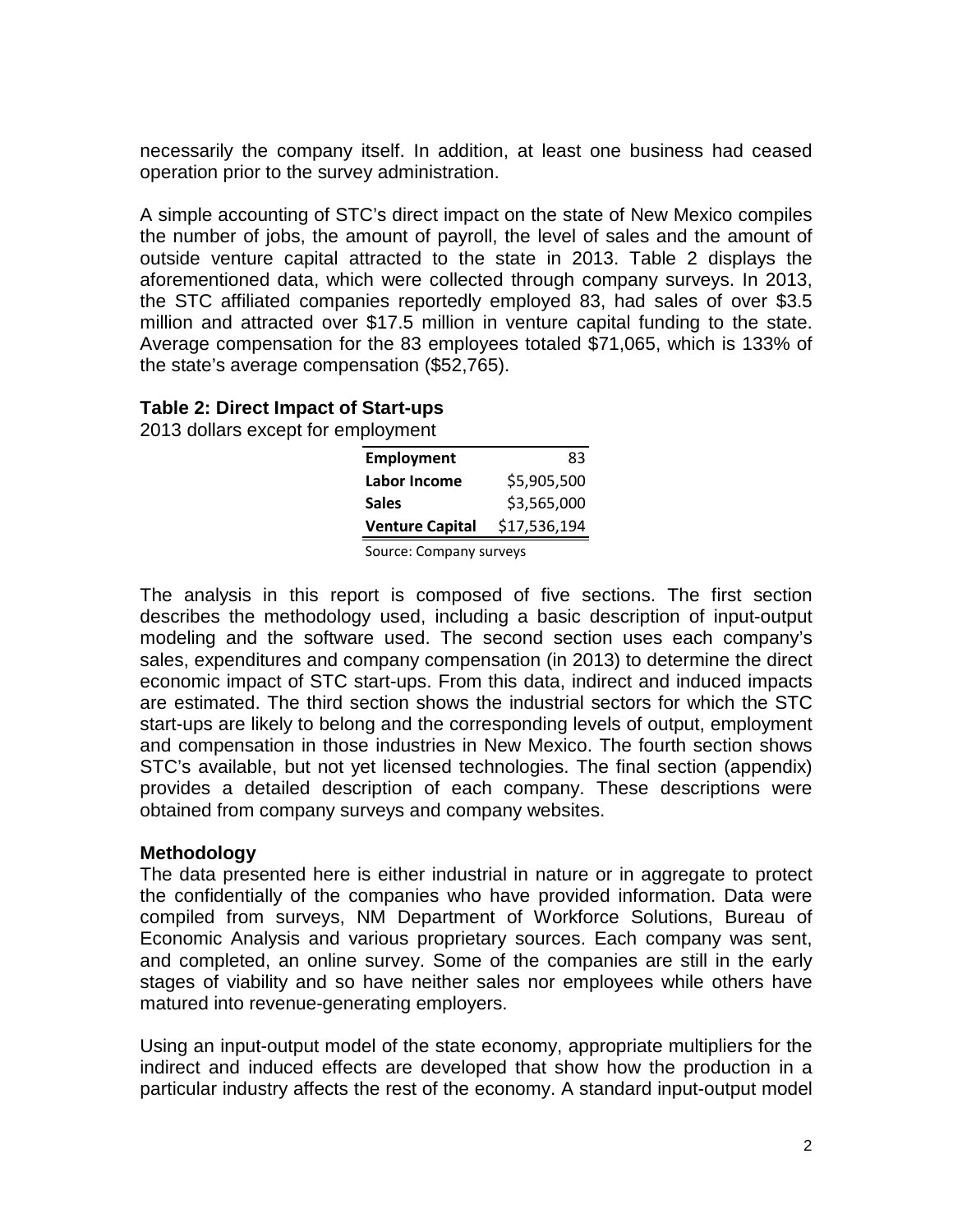necessarily the company itself. In addition, at least one business had ceased operation prior to the survey administration.

A simple accounting of STC's direct impact on the state of New Mexico compiles the number of jobs, the amount of payroll, the level of sales and the amount of outside venture capital attracted to the state in 2013. Table 2 displays the aforementioned data, which were collected through company surveys. In 2013, the STC affiliated companies reportedly employed 83, had sales of over \$3.5 million and attracted over \$17.5 million in venture capital funding to the state. Average compensation for the 83 employees totaled \$71,065, which is 133% of the state's average compensation (\$52,765).

#### **Table 2: Direct Impact of Start-ups**

2013 dollars except for employment

| <b>Employment</b>      | 83           |
|------------------------|--------------|
| Labor Income           | \$5,905,500  |
| <b>Sales</b>           | \$3,565,000  |
| <b>Venture Capital</b> | \$17,536,194 |
|                        |              |

Source: Company surveys

The analysis in this report is composed of five sections. The first section describes the methodology used, including a basic description of input-output modeling and the software used. The second section uses each company's sales, expenditures and company compensation (in 2013) to determine the direct economic impact of STC start-ups. From this data, indirect and induced impacts are estimated. The third section shows the industrial sectors for which the STC start-ups are likely to belong and the corresponding levels of output, employment and compensation in those industries in New Mexico. The fourth section shows STC's available, but not yet licensed technologies. The final section (appendix) provides a detailed description of each company. These descriptions were obtained from company surveys and company websites.

#### **Methodology**

The data presented here is either industrial in nature or in aggregate to protect the confidentially of the companies who have provided information. Data were compiled from surveys, NM Department of Workforce Solutions, Bureau of Economic Analysis and various proprietary sources. Each company was sent, and completed, an online survey. Some of the companies are still in the early stages of viability and so have neither sales nor employees while others have matured into revenue-generating employers.

Using an input-output model of the state economy, appropriate multipliers for the indirect and induced effects are developed that show how the production in a particular industry affects the rest of the economy. A standard input-output model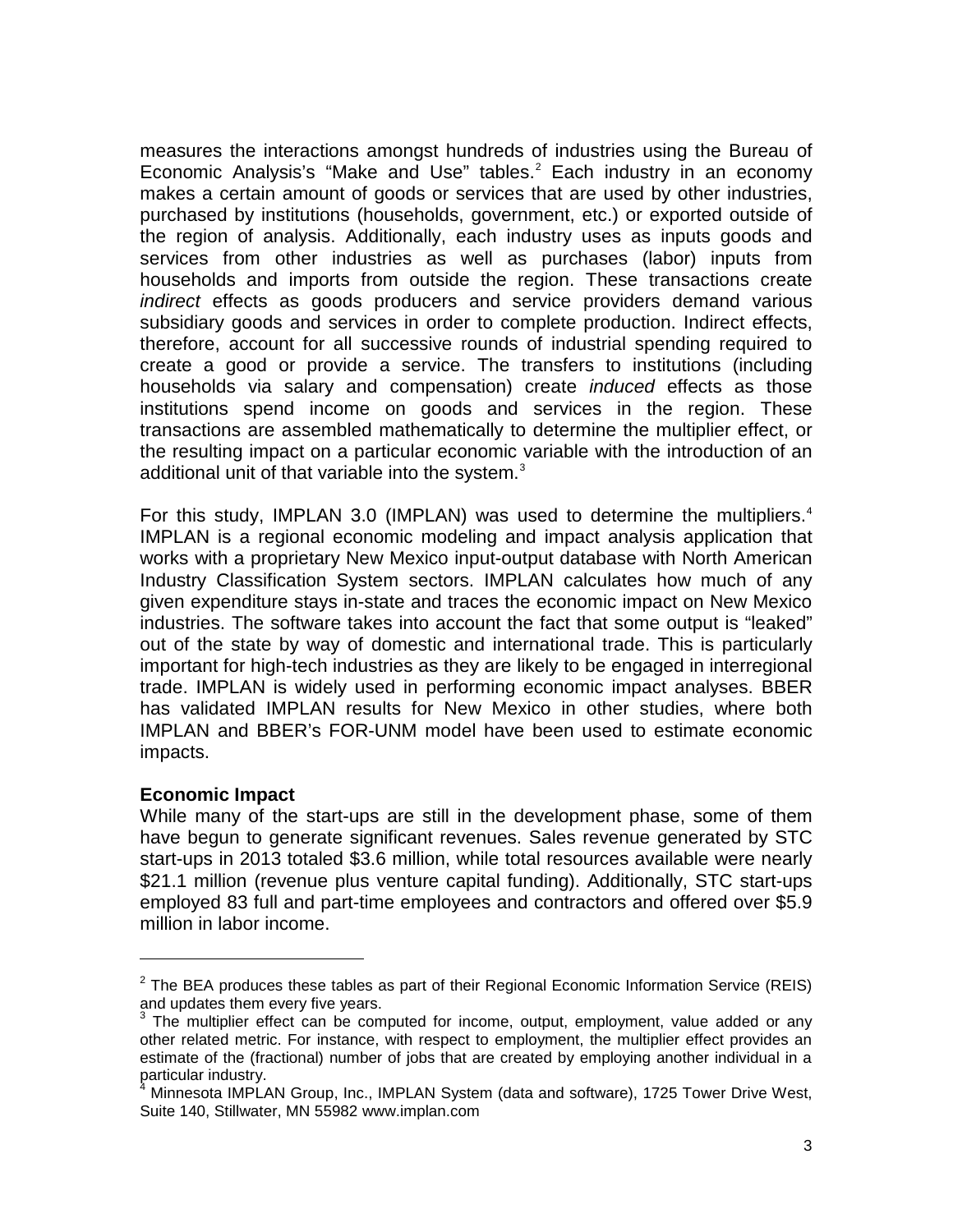measures the interactions amongst hundreds of industries using the Bureau of Economic Analysis's "Make and Use" tables.<sup>[2](#page-6-0)</sup> Each industry in an economy makes a certain amount of goods or services that are used by other industries, purchased by institutions (households, government, etc.) or exported outside of the region of analysis. Additionally, each industry uses as inputs goods and services from other industries as well as purchases (labor) inputs from households and imports from outside the region. These transactions create *indirect* effects as goods producers and service providers demand various subsidiary goods and services in order to complete production. Indirect effects, therefore, account for all successive rounds of industrial spending required to create a good or provide a service. The transfers to institutions (including households via salary and compensation) create *induced* effects as those institutions spend income on goods and services in the region. These transactions are assembled mathematically to determine the multiplier effect, or the resulting impact on a particular economic variable with the introduction of an additional unit of that variable into the system. $^3$  $^3$ 

For this study, IMPLAN 3.0 (IMPLAN) was used to determine the multipliers.<sup>4</sup> IMPLAN is a regional economic modeling and impact analysis application that works with a proprietary New Mexico input-output database with North American Industry Classification System sectors. IMPLAN calculates how much of any given expenditure stays in-state and traces the economic impact on New Mexico industries. The software takes into account the fact that some output is "leaked" out of the state by way of domestic and international trade. This is particularly important for high-tech industries as they are likely to be engaged in interregional trade. IMPLAN is widely used in performing economic impact analyses. BBER has validated IMPLAN results for New Mexico in other studies, where both IMPLAN and BBER's FOR-UNM model have been used to estimate economic impacts.

#### **Economic Impact**

 $\overline{a}$ 

While many of the start-ups are still in the development phase, some of them have begun to generate significant revenues. Sales revenue generated by STC start-ups in 2013 totaled \$3.6 million, while total resources available were nearly \$21.1 million (revenue plus venture capital funding). Additionally, STC start-ups employed 83 full and part-time employees and contractors and offered over \$5.9 million in labor income.

<span id="page-6-0"></span> $2$  The BEA produces these tables as part of their Regional Economic Information Service (REIS) and updates them every five years.

<span id="page-6-1"></span> $3$  The multiplier effect can be computed for income, output, employment, value added or any other related metric. For instance, with respect to employment, the multiplier effect provides an estimate of the (fractional) number of jobs that are created by employing another individual in a particular industry.

<span id="page-6-2"></span>Minnesota IMPLAN Group, Inc., IMPLAN System (data and software), 1725 Tower Drive West, Suite 140, Stillwater, MN 55982 www.implan.com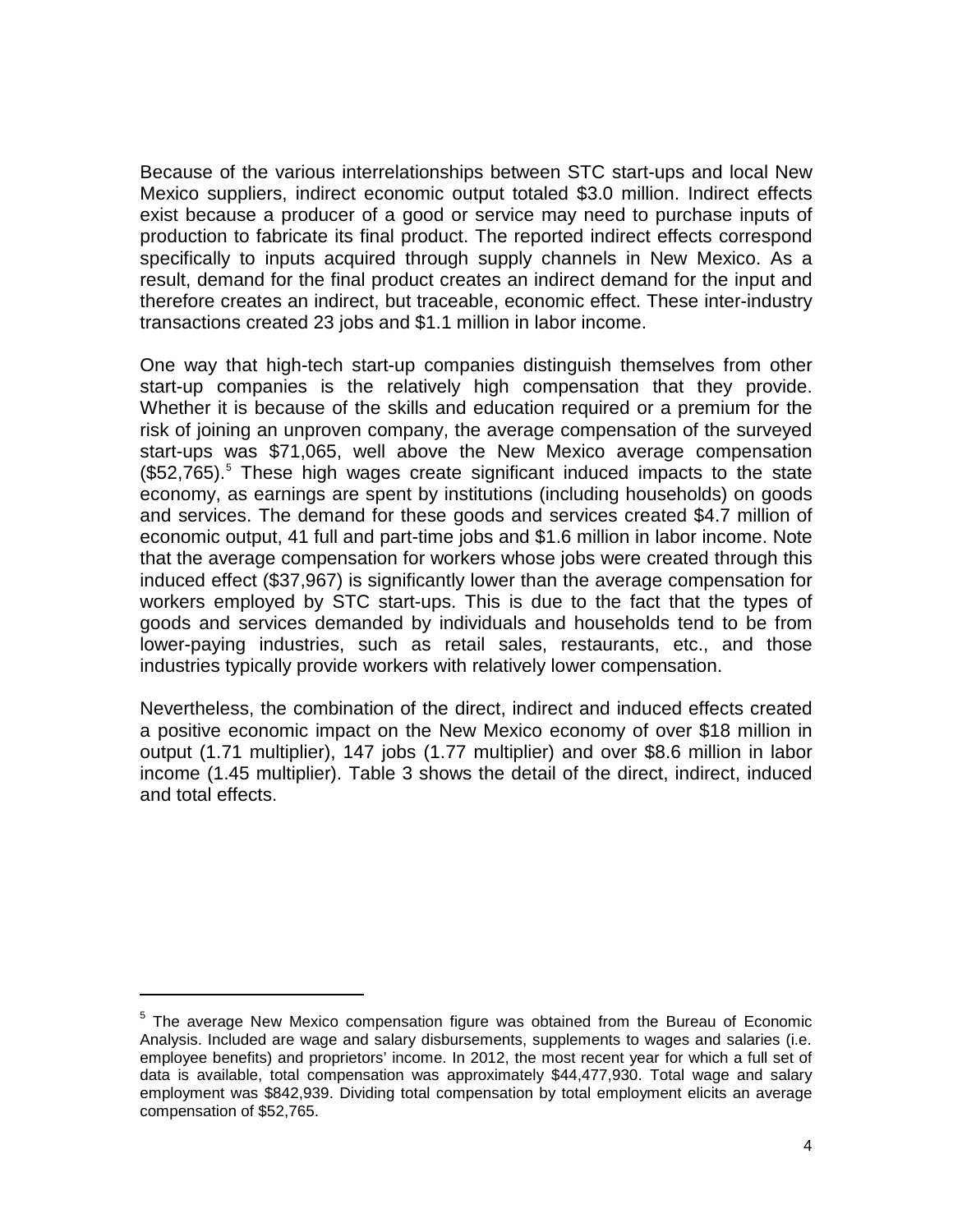Because of the various interrelationships between STC start-ups and local New Mexico suppliers, indirect economic output totaled \$3.0 million. Indirect effects exist because a producer of a good or service may need to purchase inputs of production to fabricate its final product. The reported indirect effects correspond specifically to inputs acquired through supply channels in New Mexico. As a result, demand for the final product creates an indirect demand for the input and therefore creates an indirect, but traceable, economic effect. These inter-industry transactions created 23 jobs and \$1.1 million in labor income.

One way that high-tech start-up companies distinguish themselves from other start-up companies is the relatively high compensation that they provide. Whether it is because of the skills and education required or a premium for the risk of joining an unproven company, the average compensation of the surveyed start-ups was \$71,065, well above the New Mexico average compensation (\$52,765). [5](#page-7-0) These high wages create significant induced impacts to the state economy, as earnings are spent by institutions (including households) on goods and services. The demand for these goods and services created \$4.7 million of economic output, 41 full and part-time jobs and \$1.6 million in labor income. Note that the average compensation for workers whose jobs were created through this induced effect (\$37,967) is significantly lower than the average compensation for workers employed by STC start-ups. This is due to the fact that the types of goods and services demanded by individuals and households tend to be from lower-paying industries, such as retail sales, restaurants, etc., and those industries typically provide workers with relatively lower compensation.

Nevertheless, the combination of the direct, indirect and induced effects created a positive economic impact on the New Mexico economy of over \$18 million in output (1.71 multiplier), 147 jobs (1.77 multiplier) and over \$8.6 million in labor income (1.45 multiplier). Table 3 shows the detail of the direct, indirect, induced and total effects.

 $\overline{a}$ 

<span id="page-7-0"></span> $<sup>5</sup>$  The average New Mexico compensation figure was obtained from the Bureau of Economic</sup> Analysis. Included are wage and salary disbursements, supplements to wages and salaries (i.e. employee benefits) and proprietors' income. In 2012, the most recent year for which a full set of data is available, total compensation was approximately \$44,477,930. Total wage and salary employment was \$842,939. Dividing total compensation by total employment elicits an average compensation of \$52,765.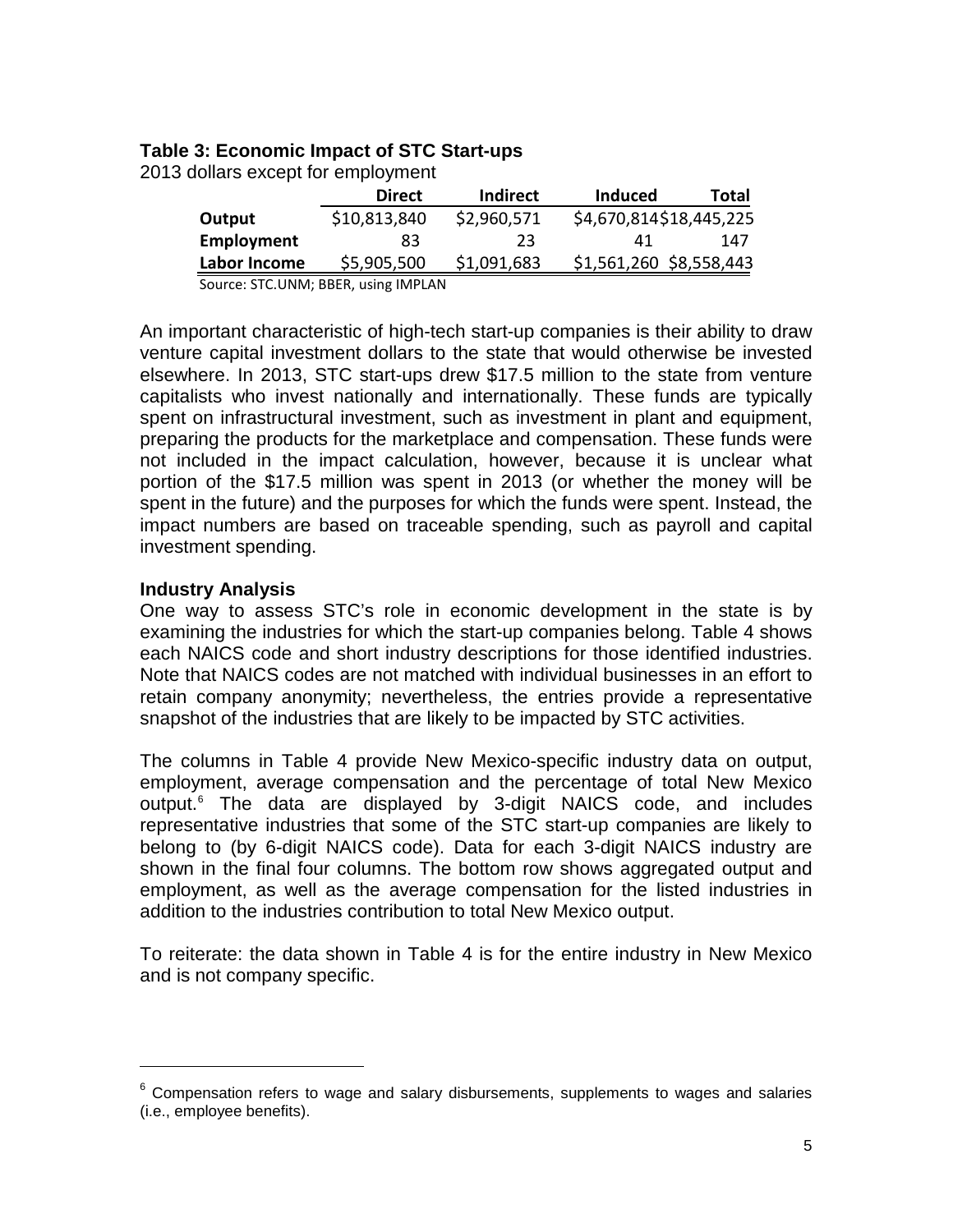#### **Table 3: Economic Impact of STC Start-ups**

| 2013 dollars except for employment |               |                 |  |
|------------------------------------|---------------|-----------------|--|
|                                    | <b>Direct</b> | <b>Indirect</b> |  |
|                                    |               |                 |  |

|              | <b>Direct</b> | <b>Indirect</b> | <b>Induced</b>          | Total |
|--------------|---------------|-----------------|-------------------------|-------|
| Output       | \$10,813,840  | \$2,960,571     | \$4,670,814\$18,445,225 |       |
| Employment   | 83            | 23              | 41                      | 147   |
| Labor Income | \$5,905,500   | \$1,091,683     | \$1,561,260 \$8,558,443 |       |

Source: STC.UNM; BBER, using IMPLAN

An important characteristic of high-tech start-up companies is their ability to draw venture capital investment dollars to the state that would otherwise be invested elsewhere. In 2013, STC start-ups drew \$17.5 million to the state from venture capitalists who invest nationally and internationally. These funds are typically spent on infrastructural investment, such as investment in plant and equipment, preparing the products for the marketplace and compensation. These funds were not included in the impact calculation, however, because it is unclear what portion of the \$17.5 million was spent in 2013 (or whether the money will be spent in the future) and the purposes for which the funds were spent. Instead, the impact numbers are based on traceable spending, such as payroll and capital investment spending.

#### **Industry Analysis**

 $\overline{a}$ 

One way to assess STC's role in economic development in the state is by examining the industries for which the start-up companies belong. Table 4 shows each NAICS code and short industry descriptions for those identified industries. Note that NAICS codes are not matched with individual businesses in an effort to retain company anonymity; nevertheless, the entries provide a representative snapshot of the industries that are likely to be impacted by STC activities.

The columns in Table 4 provide New Mexico-specific industry data on output, employment, average compensation and the percentage of total New Mexico output. [6](#page-8-0) The data are displayed by 3-digit NAICS code, and includes representative industries that some of the STC start-up companies are likely to belong to (by 6-digit NAICS code). Data for each 3-digit NAICS industry are shown in the final four columns. The bottom row shows aggregated output and employment, as well as the average compensation for the listed industries in addition to the industries contribution to total New Mexico output.

To reiterate: the data shown in Table 4 is for the entire industry in New Mexico and is not company specific.

<span id="page-8-0"></span> $6$  Compensation refers to wage and salary disbursements, supplements to wages and salaries (i.e., employee benefits).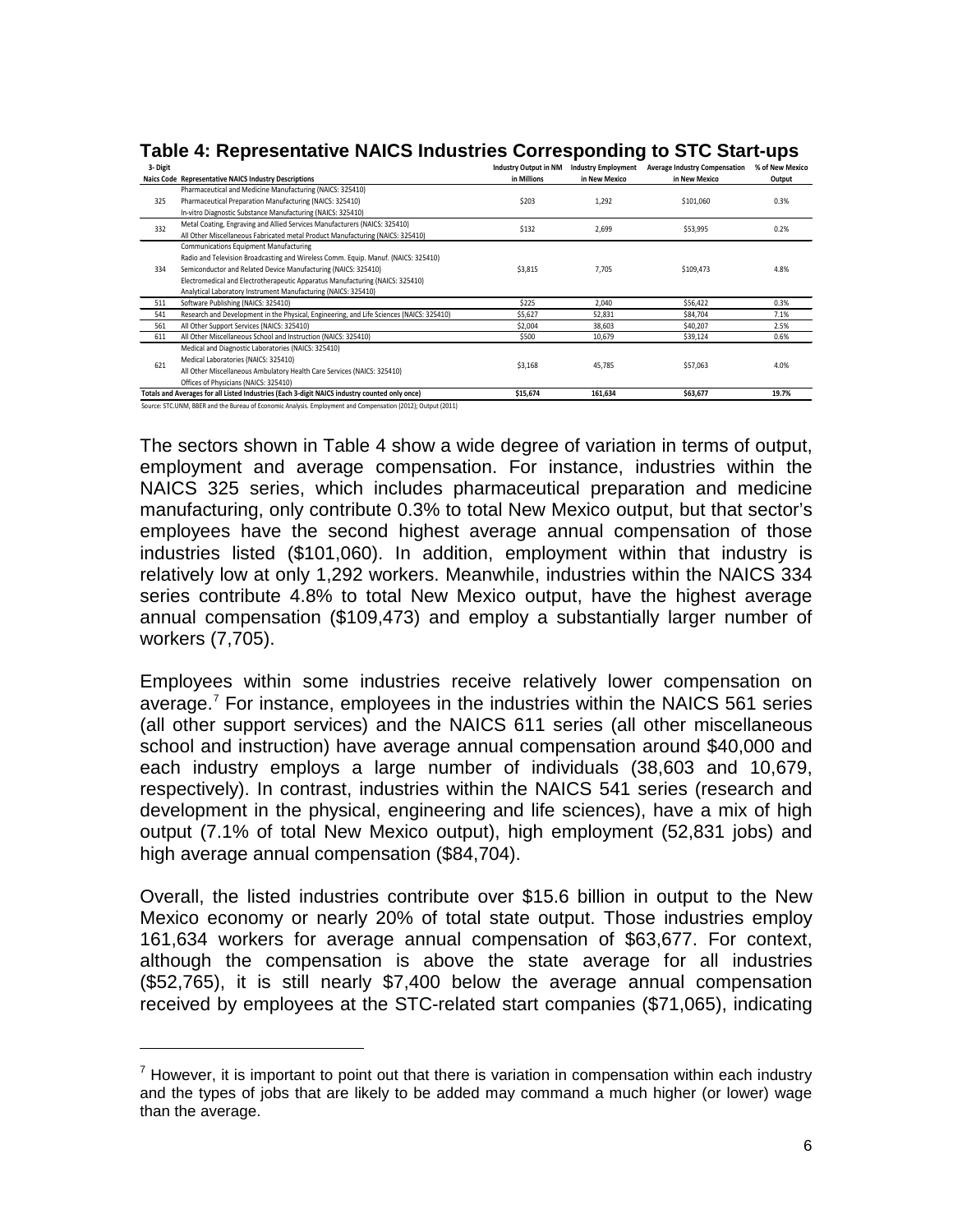| 3- Digit                                                             |                                                                                               | <b>Industry Output in NM</b> | <b>Industry Employment</b> | <b>Average Industry Compensation</b> | % of New Mexico |
|----------------------------------------------------------------------|-----------------------------------------------------------------------------------------------|------------------------------|----------------------------|--------------------------------------|-----------------|
|                                                                      | Naics Code Representative NAICS Industry Descriptions                                         | in Millions                  | in New Mexico              | in New Mexico                        | Output          |
|                                                                      | Pharmaceutical and Medicine Manufacturing (NAICS: 325410)                                     |                              |                            |                                      |                 |
| 325                                                                  | Pharmaceutical Preparation Manufacturing (NAICS: 325410)                                      | \$203                        | 1,292                      | \$101,060                            | 0.3%            |
|                                                                      | In-vitro Diagnostic Substance Manufacturing (NAICS: 325410)                                   |                              |                            |                                      |                 |
| 332                                                                  | Metal Coating, Engraving and Allied Services Manufacturers (NAICS: 325410)                    | \$132                        | 2,699                      | \$53,995                             | 0.2%            |
|                                                                      | All Other Miscellaneous Fabricated metal Product Manufacturing (NAICS: 325410)                |                              |                            |                                      |                 |
|                                                                      | <b>Communications Equipment Manufacturing</b>                                                 |                              |                            |                                      |                 |
|                                                                      | Radio and Television Broadcasting and Wireless Comm. Equip. Manuf. (NAICS: 325410)            |                              | 7,705                      | \$109,473                            | 4.8%            |
| 334                                                                  | Semiconductor and Related Device Manufacturing (NAICS: 325410)                                | \$3,815                      |                            |                                      |                 |
|                                                                      | Electromedical and Electrotherapeutic Apparatus Manufacturing (NAICS: 325410)                 |                              |                            |                                      |                 |
|                                                                      | Analytical Laboratory Instrument Manufacturing (NAICS: 325410)                                |                              |                            |                                      |                 |
| 511                                                                  | Software Publishing (NAICS: 325410)                                                           | \$225                        | 2,040                      | \$56,422                             | 0.3%            |
| 541                                                                  | Research and Development in the Physical, Engineering, and Life Sciences (NAICS: 325410)      | \$5,627                      | 52,831                     | \$84,704                             | 7.1%            |
| 561                                                                  | All Other Support Services (NAICS: 325410)                                                    | \$2,004                      | 38,603                     | \$40,207                             | 2.5%            |
| 611                                                                  | All Other Miscellaneous School and Instruction (NAICS: 325410)                                | \$500                        | 10.679                     | \$39,124                             | 0.6%            |
|                                                                      | Medical and Diagnostic Laboratories (NAICS: 325410)                                           |                              |                            |                                      |                 |
| 621                                                                  | Medical Laboratories (NAICS: 325410)                                                          | \$3,168                      | 45,785                     | \$57,063                             | 4.0%            |
|                                                                      | All Other Miscellaneous Ambulatory Health Care Services (NAICS: 325410)                       |                              |                            |                                      |                 |
|                                                                      | Offices of Physicians (NAICS: 325410)                                                         |                              |                            |                                      |                 |
|                                                                      | Totals and Averages for all Listed Industries (Each 3-digit NAICS industry counted only once) | \$15,674                     | 161,634                    | \$63,677                             | 19.7%           |
| ومنتصفا والمتحمد والمارا والمارا والمارا المارا ومقموم منتزع ومستحدة |                                                                                               |                              |                            |                                      |                 |

**Table 4: Representative NAICS Industries Corresponding to STC Start-ups**

TC.UNM, BBER and the Bureau of Economic Analysis. Employment and Compensation (2012); Output (2011)

 $\overline{a}$ 

The sectors shown in Table 4 show a wide degree of variation in terms of output, employment and average compensation. For instance, industries within the NAICS 325 series, which includes pharmaceutical preparation and medicine manufacturing, only contribute 0.3% to total New Mexico output, but that sector's employees have the second highest average annual compensation of those industries listed (\$101,060). In addition, employment within that industry is relatively low at only 1,292 workers. Meanwhile, industries within the NAICS 334 series contribute 4.8% to total New Mexico output, have the highest average annual compensation (\$109,473) and employ a substantially larger number of workers (7,705).

Employees within some industries receive relatively lower compensation on average.<sup>[7](#page-9-0)</sup> For instance, employees in the industries within the NAICS 561 series (all other support services) and the NAICS 611 series (all other miscellaneous school and instruction) have average annual compensation around \$40,000 and each industry employs a large number of individuals (38,603 and 10,679, respectively). In contrast, industries within the NAICS 541 series (research and development in the physical, engineering and life sciences), have a mix of high output (7.1% of total New Mexico output), high employment (52,831 jobs) and high average annual compensation (\$84,704).

Overall, the listed industries contribute over \$15.6 billion in output to the New Mexico economy or nearly 20% of total state output. Those industries employ 161,634 workers for average annual compensation of \$63,677. For context, although the compensation is above the state average for all industries (\$52,765), it is still nearly \$7,400 below the average annual compensation received by employees at the STC-related start companies (\$71,065), indicating

<span id="page-9-0"></span> $<sup>7</sup>$  However, it is important to point out that there is variation in compensation within each industry</sup> and the types of jobs that are likely to be added may command a much higher (or lower) wage than the average.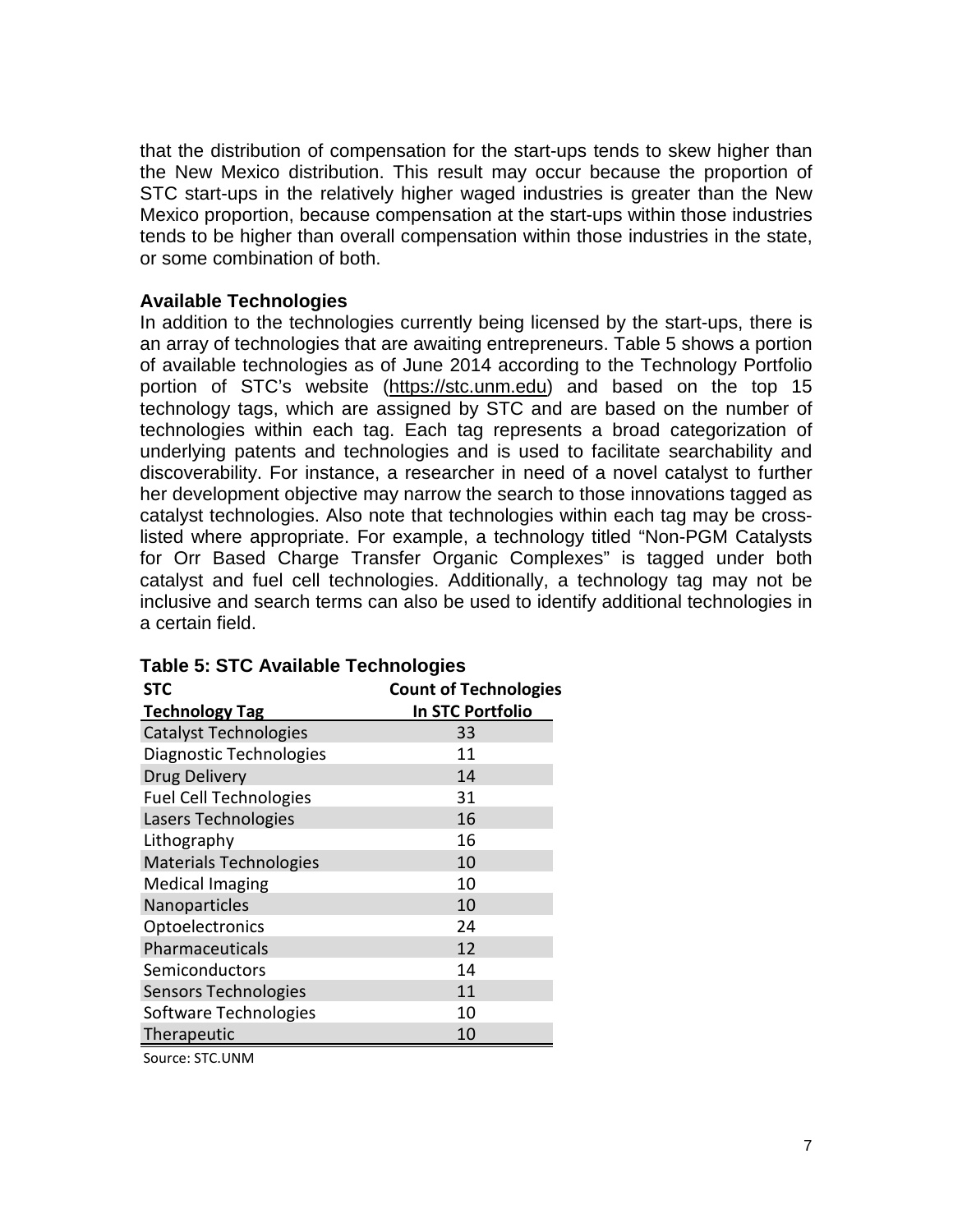that the distribution of compensation for the start-ups tends to skew higher than the New Mexico distribution. This result may occur because the proportion of STC start-ups in the relatively higher waged industries is greater than the New Mexico proportion, because compensation at the start-ups within those industries tends to be higher than overall compensation within those industries in the state, or some combination of both.

#### **Available Technologies**

In addition to the technologies currently being licensed by the start-ups, there is an array of technologies that are awaiting entrepreneurs. Table 5 shows a portion of available technologies as of June 2014 according to the Technology Portfolio portion of STC's website [\(https://stc.unm.edu\)](https://stc.unm.edu/) and based on the top 15 technology tags, which are assigned by STC and are based on the number of technologies within each tag. Each tag represents a broad categorization of underlying patents and technologies and is used to facilitate searchability and discoverability. For instance, a researcher in need of a novel catalyst to further her development objective may narrow the search to those innovations tagged as catalyst technologies. Also note that technologies within each tag may be crosslisted where appropriate. For example, a technology titled "Non-PGM Catalysts for Orr Based Charge Transfer Organic Complexes" is tagged under both catalyst and fuel cell technologies. Additionally, a technology tag may not be inclusive and search terms can also be used to identify additional technologies in a certain field.

| <b>STC</b>                    | <b>Count of Technologies</b> |  |  |  |
|-------------------------------|------------------------------|--|--|--|
| <b>Technology Tag</b>         | <b>In STC Portfolio</b>      |  |  |  |
| <b>Catalyst Technologies</b>  | 33                           |  |  |  |
| Diagnostic Technologies       | 11                           |  |  |  |
| <b>Drug Delivery</b>          | 14                           |  |  |  |
| <b>Fuel Cell Technologies</b> | 31                           |  |  |  |
| Lasers Technologies           | 16                           |  |  |  |
| Lithography                   | 16                           |  |  |  |
| <b>Materials Technologies</b> | 10                           |  |  |  |
| <b>Medical Imaging</b>        | 10                           |  |  |  |
| Nanoparticles                 | 10                           |  |  |  |
| Optoelectronics               | 24                           |  |  |  |
| Pharmaceuticals               | 12                           |  |  |  |
| Semiconductors                | 14                           |  |  |  |
| Sensors Technologies          | 11                           |  |  |  |
| Software Technologies         | 10                           |  |  |  |
| Therapeutic                   | 10                           |  |  |  |

### **Table 5: STC Available Technologies**

Source: STC.UNM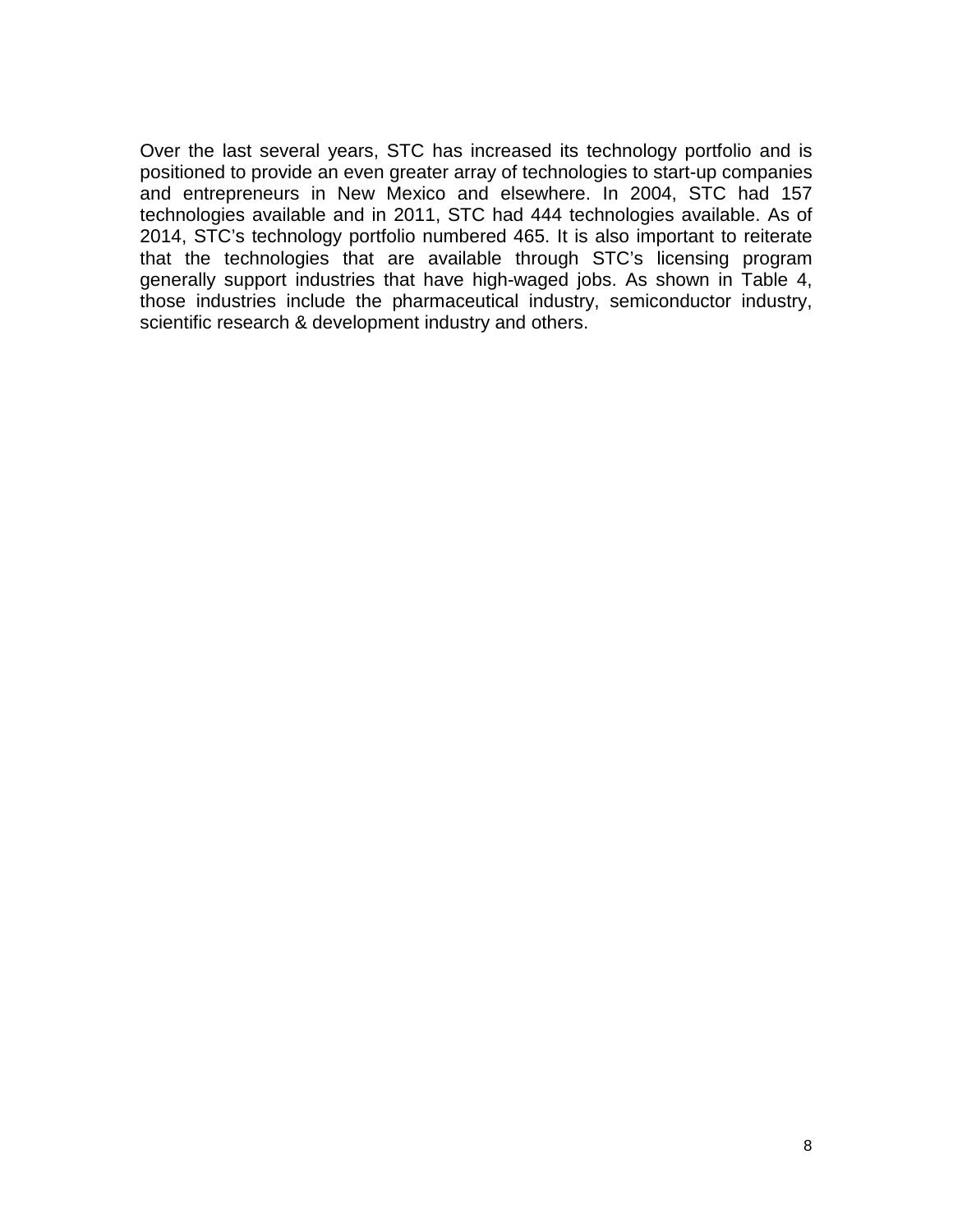Over the last several years, STC has increased its technology portfolio and is positioned to provide an even greater array of technologies to start-up companies and entrepreneurs in New Mexico and elsewhere. In 2004, STC had 157 technologies available and in 2011, STC had 444 technologies available. As of 2014, STC's technology portfolio numbered 465. It is also important to reiterate that the technologies that are available through STC's licensing program generally support industries that have high-waged jobs. As shown in Table 4, those industries include the pharmaceutical industry, semiconductor industry, scientific research & development industry and others.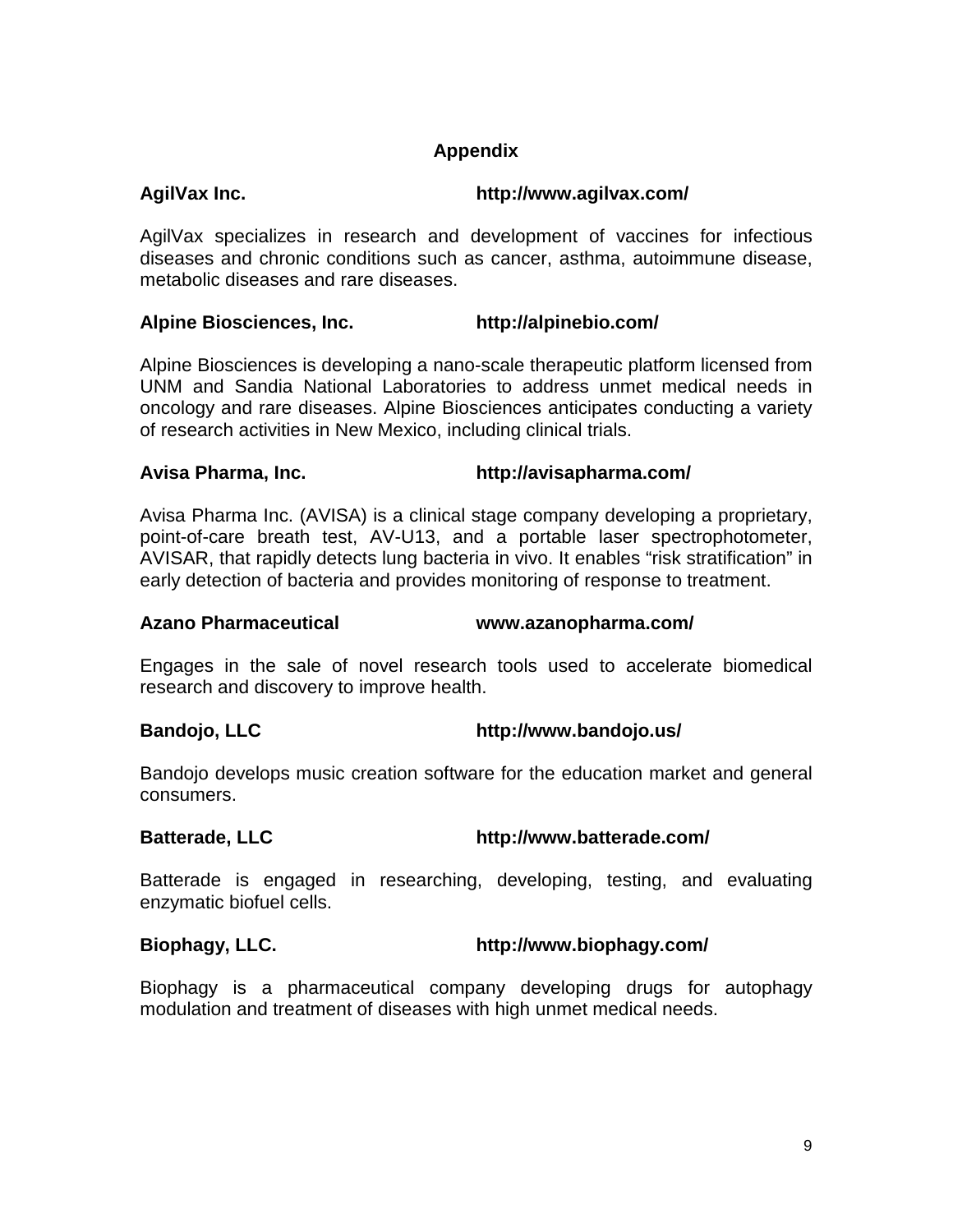### **Appendix**

### **AgilVax Inc. http://www.agilvax.com/**

AgilVax specializes in research and development of vaccines for infectious diseases and chronic conditions such as cancer, asthma, autoimmune disease, metabolic diseases and rare diseases.

#### **Alpine Biosciences, Inc. http://alpinebio.com/**

Alpine Biosciences is developing a nano-scale therapeutic platform licensed from UNM and Sandia National Laboratories to address unmet medical needs in oncology and rare diseases. Alpine Biosciences anticipates conducting a variety of research activities in New Mexico, including clinical trials.

#### **Avisa Pharma, Inc. http://avisapharma.com/**

Avisa Pharma Inc. (AVISA) is a clinical stage company developing a proprietary, point-of-care breath test, AV-U13, and a portable laser spectrophotometer, AVISAR, that rapidly detects lung bacteria in vivo. It enables "risk stratification" in early detection of bacteria and provides monitoring of response to treatment.

#### **Azano Pharmaceutical [www.azanopharma.com/](http://www.azanopharma.com/)**

Engages in the sale of novel research tools used to accelerate biomedical research and discovery to improve health.

### **Bandojo, LLC http://www.bandojo.us/**

Bandojo develops music creation software for the education market and general consumers.

**Batterade, LLC http://www.batterade.com/**

Batterade is engaged in researching, developing, testing, and evaluating enzymatic biofuel cells.

### **Biophagy, LLC. http://www.biophagy.com/**

Biophagy is a pharmaceutical company developing drugs for autophagy modulation and treatment of diseases with high unmet medical needs.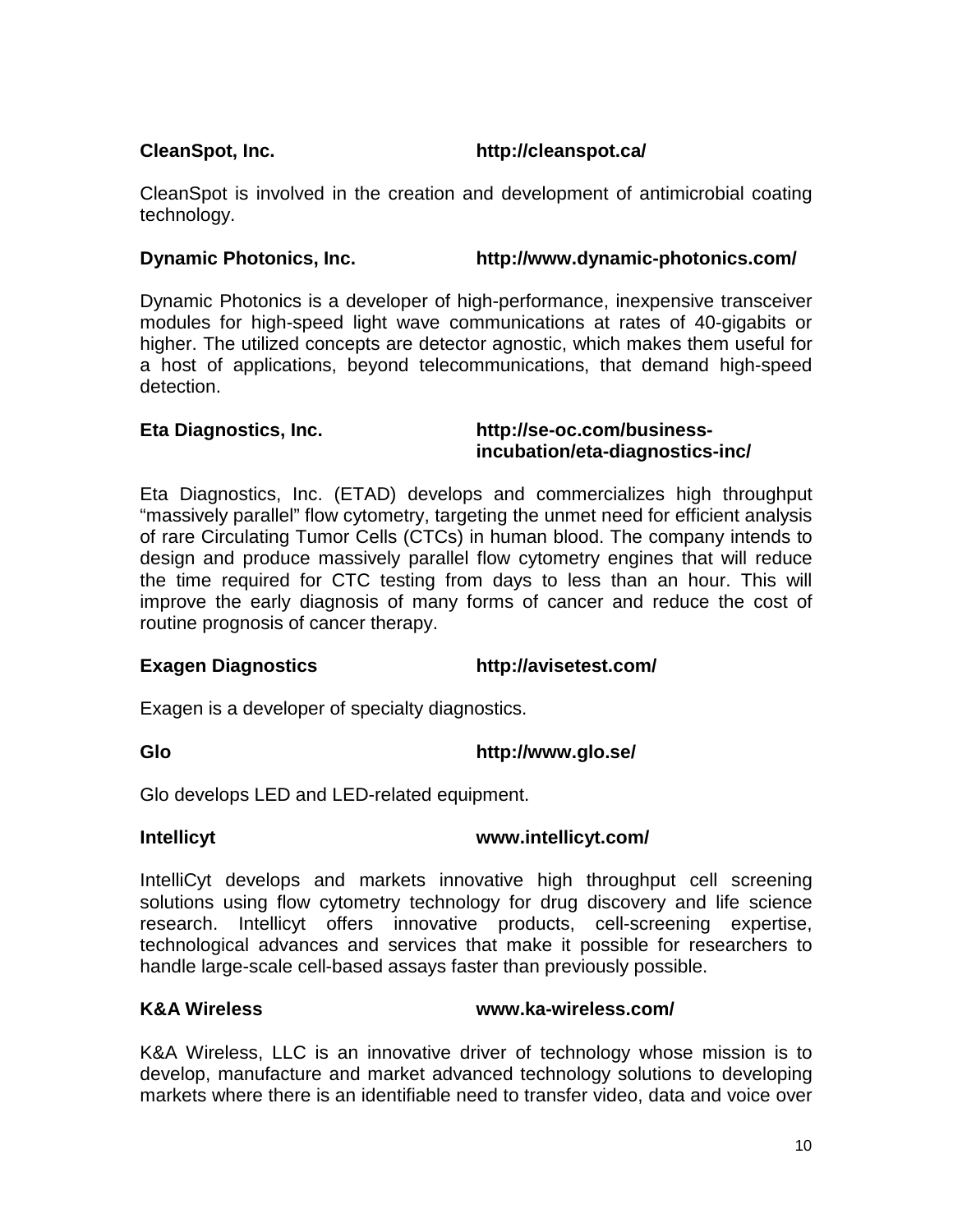#### **CleanSpot, Inc. http://cleanspot.ca/**

CleanSpot is involved in the creation and development of antimicrobial coating technology.

#### **Dynamic Photonics, Inc. http://www.dynamic-photonics.com/**

Dynamic Photonics is a developer of high-performance, inexpensive transceiver modules for high-speed light wave communications at rates of 40-gigabits or higher. The utilized concepts are detector agnostic, which makes them useful for a host of applications, beyond telecommunications, that demand high-speed detection.

#### **Eta Diagnostics, Inc. http://se-oc.com/businessincubation/eta-diagnostics-inc/**

Eta Diagnostics, Inc. (ETAD) develops and commercializes high throughput "massively parallel" flow cytometry, targeting the unmet need for efficient analysis of rare Circulating Tumor Cells (CTCs) in human blood. The company intends to design and produce massively parallel flow cytometry engines that will reduce the time required for CTC testing from days to less than an hour. This will improve the early diagnosis of many forms of cancer and reduce the cost of routine prognosis of cancer therapy.

### **Exagen Diagnostics http://avisetest.com/**

Exagen is a developer of specialty diagnostics.

**Glo http://www.glo.se/**

Glo develops LED and LED-related equipment.

### **Intellicyt www.intellicyt.com/**

IntelliCyt develops and markets innovative high throughput cell screening solutions using flow cytometry technology for drug discovery and life science research. Intellicyt offers innovative products, cell-screening expertise, technological advances and services that make it possible for researchers to handle large-scale cell-based assays faster than previously possible.

### **K&A Wireless www.ka-wireless.com/**

K&A Wireless, LLC is an innovative driver of technology whose mission is to develop, manufacture and market advanced technology solutions to developing markets where there is an identifiable need to transfer video, data and voice over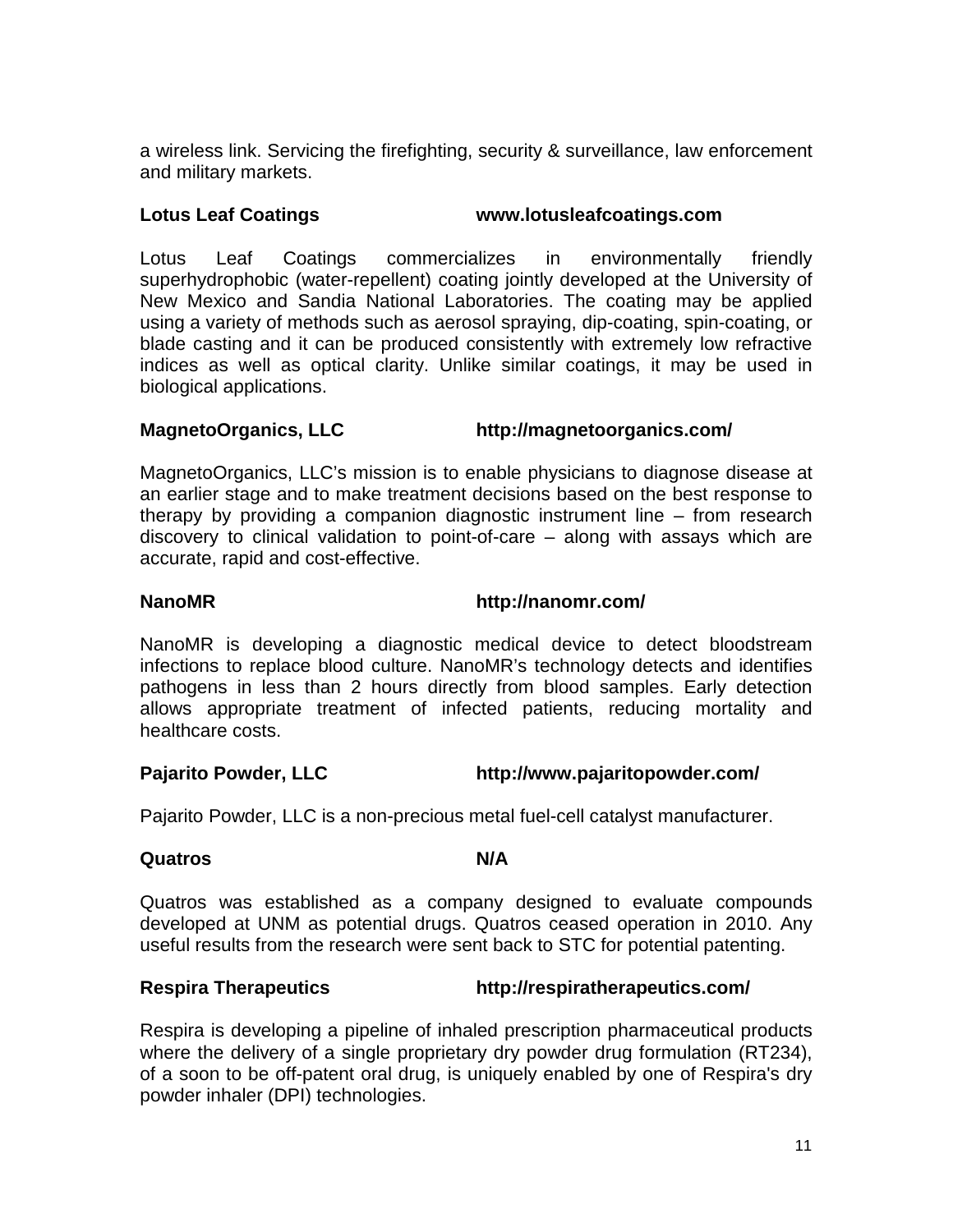a wireless link. Servicing the firefighting, security & surveillance, law enforcement and military markets.

#### **Lotus Leaf Coatings [www.lotusleafcoatings.com](http://www.lotusleafcoatings.com/)**

Lotus Leaf Coatings commercializes in environmentally friendly superhydrophobic (water-repellent) coating jointly developed at the University of New Mexico and Sandia National Laboratories. The coating may be applied using a variety of methods such as aerosol spraying, dip-coating, spin-coating, or blade casting and it can be produced consistently with extremely low refractive indices as well as optical clarity. Unlike similar coatings, it may be used in biological applications.

#### **MagnetoOrganics, LLC http://magnetoorganics.com/**

MagnetoOrganics, LLC's mission is to enable physicians to diagnose disease at an earlier stage and to make treatment decisions based on the best response to therapy by providing a companion diagnostic instrument line – from research discovery to clinical validation to point-of-care – along with assays which are accurate, rapid and cost-effective.

**NanoMR <http://nanomr.com/>**

NanoMR is developing a diagnostic medical device to detect bloodstream infections to replace blood culture. NanoMR's technology detects and identifies pathogens in less than 2 hours directly from blood samples. Early detection allows appropriate treatment of infected patients, reducing mortality and healthcare costs.

### **Pajarito Powder, LLC http://www.pajaritopowder.com/**

Pajarito Powder, LLC is a non-precious metal fuel-cell catalyst manufacturer.

#### **Quatros** N/A

Quatros was established as a company designed to evaluate compounds developed at UNM as potential drugs. Quatros ceased operation in 2010. Any useful results from the research were sent back to STC for potential patenting.

#### **Respira Therapeutics <http://respiratherapeutics.com/>**

Respira is developing a pipeline of inhaled prescription pharmaceutical products where the delivery of a single proprietary dry powder drug formulation (RT234), of a soon to be off-patent oral drug, is uniquely enabled by one of Respira's dry powder inhaler (DPI) technologies.